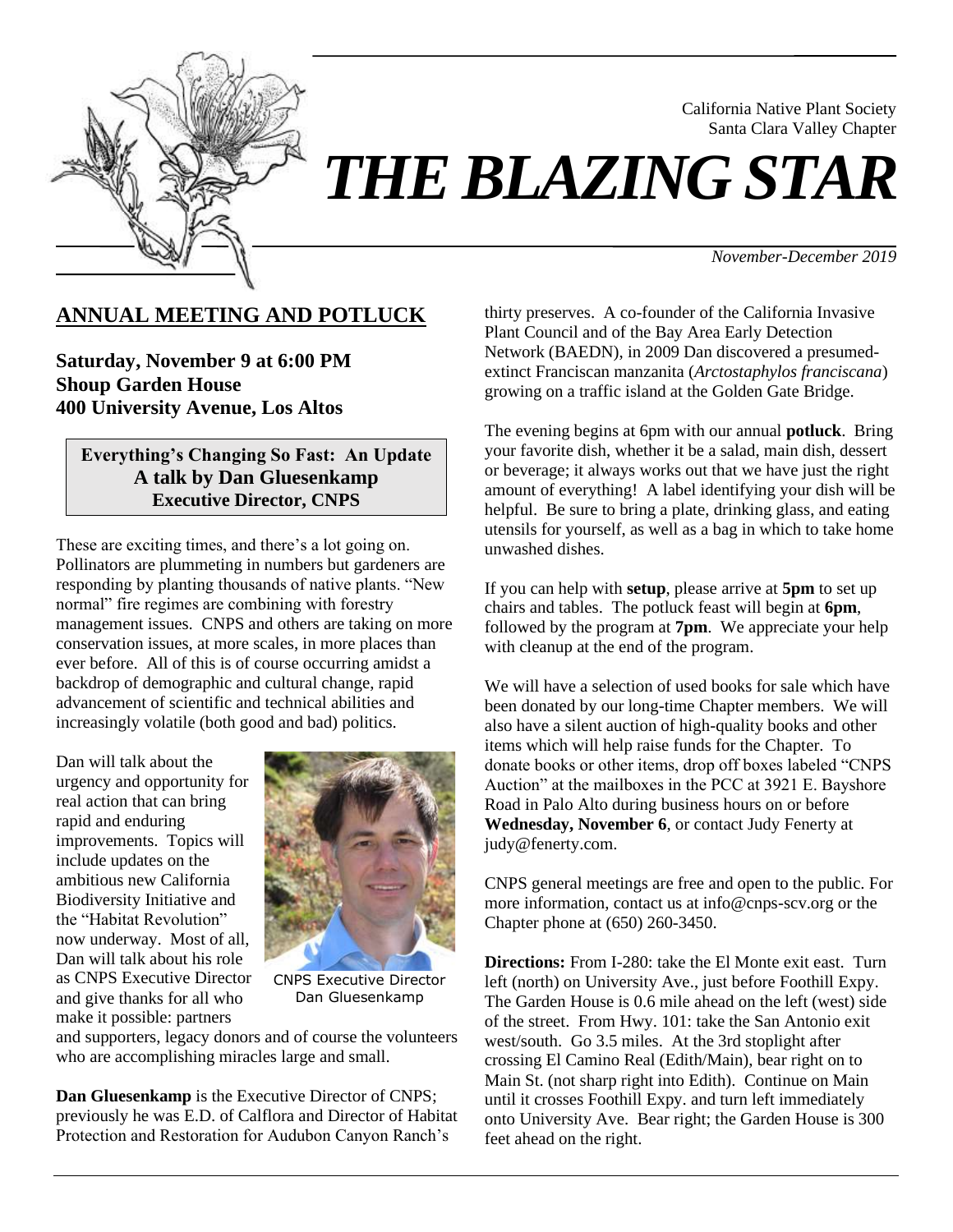

# *THE BLAZING STAR*

*November-December 2019*

California Native Plant Society Santa Clara Valley Chapter

# **ANNUAL MEETING AND POTLUCK**

**Saturday, November 9 at 6:00 PM Shoup Garden House 400 University Avenue, Los Altos**

#### **Everything's Changing So Fast: An Update A talk by Dan Gluesenkamp Executive Director, CNPS**

These are exciting times, and there's a lot going on. Pollinators are plummeting in numbers but gardeners are responding by planting thousands of native plants. "New normal" fire regimes are combining with forestry management issues. CNPS and others are taking on more conservation issues, at more scales, in more places than ever before. All of this is of course occurring amidst a backdrop of demographic and cultural change, rapid advancement of scientific and technical abilities and increasingly volatile (both good and bad) politics.

Dan will talk about the urgency and opportunity for real action that can bring rapid and enduring improvements. Topics will include updates on the ambitious new California Biodiversity Initiative and the "Habitat Revolution" now underway. Most of all, Dan will talk about his role as CNPS Executive Director and give thanks for all who make it possible: partners



CNPS Executive Director Dan Gluesenkamp

and supporters, legacy donors and of course the volunteers who are accomplishing miracles large and small.

**Dan Gluesenkamp** is the Executive Director of CNPS; previously he was E.D. of Calflora and Director of Habitat Protection and Restoration for Audubon Canyon Ranch's

thirty preserves. A co-founder of the California Invasive Plant Council and of the Bay Area Early Detection Network (BAEDN), in 2009 Dan discovered a presumedextinct Franciscan manzanita (*Arctostaphylos franciscana*) growing on a traffic island at the Golden Gate Bridge.

The evening begins at 6pm with our annual **potluck**. Bring your favorite dish, whether it be a salad, main dish, dessert or beverage; it always works out that we have just the right amount of everything! A label identifying your dish will be helpful. Be sure to bring a plate, drinking glass, and eating utensils for yourself, as well as a bag in which to take home unwashed dishes.

If you can help with **setup**, please arrive at **5pm** to set up chairs and tables. The potluck feast will begin at **6pm**, followed by the program at **7pm**. We appreciate your help with cleanup at the end of the program.

We will have a selection of used books for sale which have been donated by our long-time Chapter members. We will also have a silent auction of high-quality books and other items which will help raise funds for the Chapter. To donate books or other items, drop off boxes labeled "CNPS Auction" at the mailboxes in the PCC at 3921 E. Bayshore Road in Palo Alto during business hours on or before **Wednesday, November 6**, or contact Judy Fenerty at judy@fenerty.com.

CNPS general meetings are free and open to the public. For more information, contact us at info@cnps-scv.org or the Chapter phone at (650) 260-3450.

**Directions:** From I-280: take the El Monte exit east. Turn left (north) on University Ave., just before Foothill Expy. The Garden House is 0.6 mile ahead on the left (west) side of the street. From Hwy. 101: take the San Antonio exit west/south. Go 3.5 miles. At the 3rd stoplight after crossing El Camino Real (Edith/Main), bear right on to Main St. (not sharp right into Edith). Continue on Main until it crosses Foothill Expy. and turn left immediately onto University Ave. Bear right; the Garden House is 300 feet ahead on the right.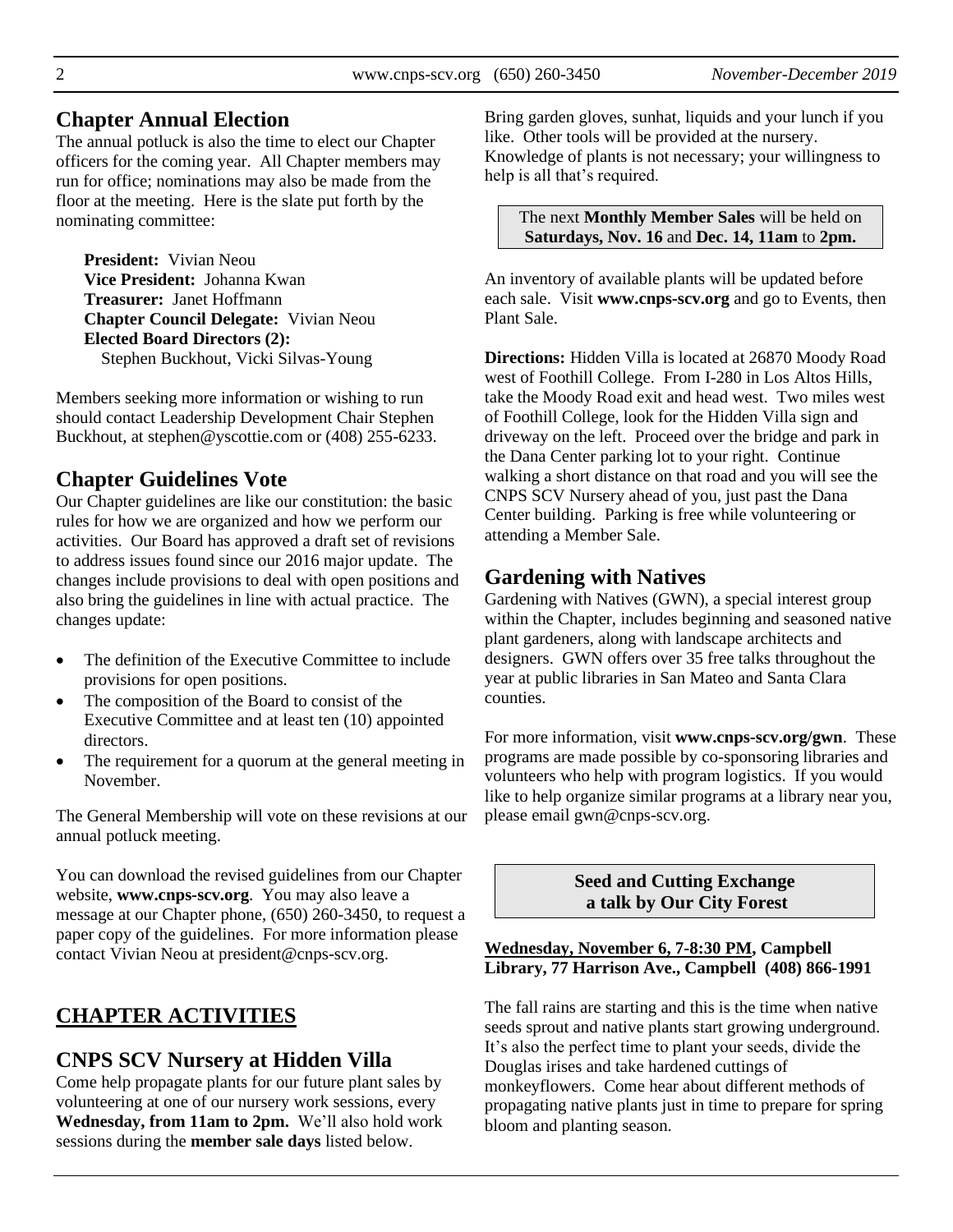#### **Chapter Annual Election**

The annual potluck is also the time to elect our Chapter officers for the coming year. All Chapter members may run for office; nominations may also be made from the floor at the meeting. Here is the slate put forth by the nominating committee:

**President:** Vivian Neou **Vice President:** Johanna Kwan **Treasurer:** Janet Hoffmann **Chapter Council Delegate:** Vivian Neou **Elected Board Directors (2):** Stephen Buckhout, Vicki Silvas-Young

Members seeking more information or wishing to run should contact Leadership Development Chair Stephen Buckhout, at stephen@yscottie.com or (408) 255-6233.

# **Chapter Guidelines Vote**

Our Chapter guidelines are like our constitution: the basic rules for how we are organized and how we perform our activities. Our Board has approved a draft set of revisions to address issues found since our 2016 major update. The changes include provisions to deal with open positions and also bring the guidelines in line with actual practice. The changes update:

- The definition of the Executive Committee to include provisions for open positions.
- The composition of the Board to consist of the Executive Committee and at least ten (10) appointed directors.
- The requirement for a quorum at the general meeting in November.

The General Membership will vote on these revisions at our annual potluck meeting.

You can download the revised guidelines from our Chapter website, **[www.cnps-scv.org](http://www.cnps-scv.org/)**. You may also leave a message at our Chapter phone, (650) 260-3450, to request a paper copy of the guidelines. For more information please contact Vivian Neou at [president@cnps-scv.org.](mailto:president@cnps-scv.org)

# **CHAPTER ACTIVITIES**

# **CNPS SCV Nursery at Hidden Villa**

Come help propagate plants for our future plant sales by volunteering at one of our nursery work sessions, every **Wednesday, from 11am to 2pm.** We'll also hold work sessions during the **member sale days** listed below.

Bring garden gloves, sunhat, liquids and your lunch if you like. Other tools will be provided at the nursery.

Knowledge of plants is not necessary; your willingness to help is all that's required.

The next **Monthly Member Sales** will be held on **Saturdays, Nov. 16** and **Dec. 14, 11am** to **2pm.**

An inventory of available plants will be updated before each sale. Visit **www.cnps-scv.org** [and go to Events, then](http://cnps-scv.org/index.php/events/plant-sale)  [Plant Sale.](http://cnps-scv.org/index.php/events/plant-sale)

**Directions:** Hidden Villa is located at 26870 Moody Road west of Foothill College. From I-280 in Los Altos Hills, take the Moody Road exit and head west. Two miles west of Foothill College, look for the Hidden Villa sign and driveway on the left. Proceed over the bridge and park in the Dana Center parking lot to your right. Continue walking a short distance on that road and you will see the CNPS SCV Nursery ahead of you, just past the Dana Center building. Parking is free while volunteering or attending a Member Sale.

# **Gardening with Natives**

Gardening with Natives (GWN), a special interest group within the Chapter, includes beginning and seasoned native plant gardeners, along with landscape architects and designers. GWN offers over 35 free talks throughout the year at public libraries in San Mateo and Santa Clara counties.

For more information, visit **[www.cnps-scv.org/gwn](http://www.cnps-scv.org/gwn)**. These programs are made possible by co-sponsoring libraries and volunteers who help with program logistics. If you would like to help organize similar programs at a library near you, please email [gwn@cnps-scv.org.](mailto:sdosaka@sustainable-landscape.com)

> **Seed and Cutting Exchange a talk by Our City Forest**

#### **Wednesday, November 6, 7-8:30 PM, Campbell Library, 77 Harrison Ave., Campbell (408) 866-1991**

The fall rains are starting and this is the time when native seeds sprout and native plants start growing underground. It's also the perfect time to plant your seeds, divide the Douglas irises and take hardened cuttings of monkeyflowers. Come hear about different methods of propagating native plants just in time to prepare for spring bloom and planting season.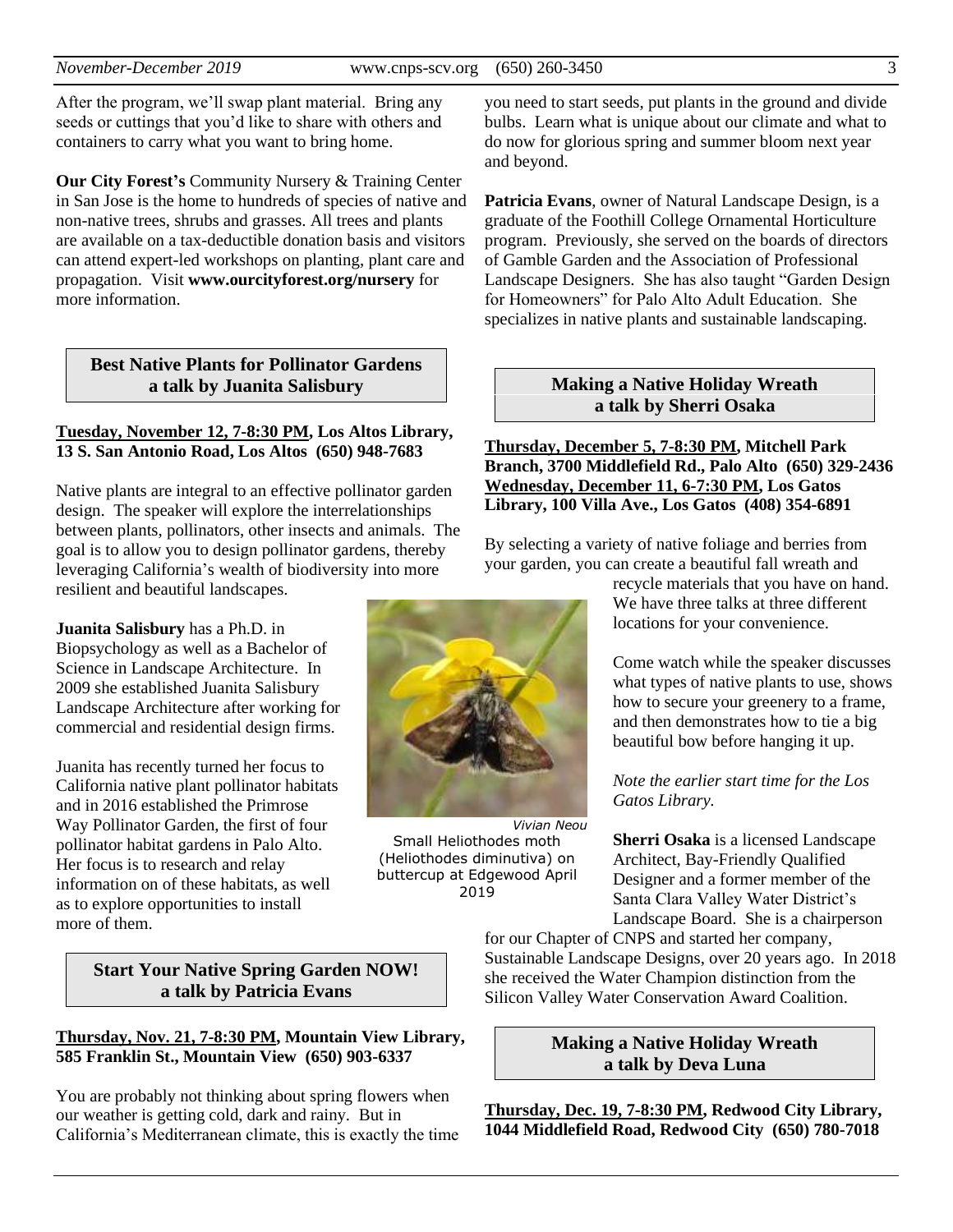After the program, we'll swap plant material. Bring any seeds or cuttings that you'd like to share with others and containers to carry what you want to bring home.

**Our City Forest's** Community Nursery & Training Center in San Jose is the home to hundreds of species of native and non-native trees, shrubs and grasses. All trees and plants are available on a tax-deductible donation basis and visitors can attend expert-led workshops on planting, plant care and propagation. Visit **[www.ourcityforest.org/nursery](https://www.ourcityforest.org/nursery)** for more information.

#### **Best Native Plants for Pollinator Gardens a talk by Juanita Salisbury**

#### **Tuesday, November 12, 7-8:30 PM, Los Altos Library, 13 S. San Antonio Road, Los Altos (650) 948-7683**

Native plants are integral to an effective pollinator garden design. The speaker will explore the interrelationships between plants, pollinators, other insects and animals. The goal is to allow you to design pollinator gardens, thereby leveraging California's wealth of biodiversity into more resilient and beautiful landscapes.

**Juanita Salisbury** has a Ph.D. in Biopsychology as well as a Bachelor of Science in Landscape Architecture. In 2009 she established Juanita Salisbury Landscape Architecture after working for commercial and residential design firms.

Juanita has recently turned her focus to California native plant pollinator habitats and in 2016 established the Primrose Way Pollinator Garden, the first of four pollinator habitat gardens in Palo Alto. Her focus is to research and relay information on of these habitats, as well as to explore opportunities to install more of them.

#### **Start Your Native Spring Garden NOW! a talk by Patricia Evans**

#### **Thursday, Nov. 21, 7-8:30 PM, Mountain View Library, 585 Franklin St., Mountain View (650) 903-6337**

You are probably not thinking about spring flowers when our weather is getting cold, dark and rainy. But in California's Mediterranean climate, this is exactly the time



*Vivian Neou* Small Heliothodes moth (Heliothodes diminutiva) on buttercup at Edgewood April 2019

you need to start seeds, put plants in the ground and divide bulbs. Learn what is unique about our climate and what to do now for glorious spring and summer bloom next year and beyond.

**Patricia Evans**, owner of Natural Landscape Design, is a graduate of the Foothill College Ornamental Horticulture program. Previously, she served on the boards of directors of Gamble Garden and the Association of Professional Landscape Designers. She has also taught "Garden Design for Homeowners" for Palo Alto Adult Education. She specializes in native plants and sustainable landscaping.

#### **Making a Native Holiday Wreath a talk by Sherri Osaka**

**Thursday, December 5, 7-8:30 PM, Mitchell Park Branch, 3700 Middlefield Rd., Palo Alto (650) 329-2436 Wednesday, December 11, 6-7:30 PM, Los Gatos Library, 100 Villa Ave., Los Gatos (408) 354-6891**

By selecting a variety of native foliage and berries from your garden, you can create a beautiful fall wreath and

recycle materials that you have on hand. We have three talks at three different locations for your convenience.

Come watch while the speaker discusses what types of native plants to use, shows how to secure your greenery to a frame, and then demonstrates how to tie a big beautiful bow before hanging it up.

*Note the earlier start time for the Los Gatos Library.*

**Sherri Osaka** is a licensed Landscape Architect, Bay-Friendly Qualified Designer and a former member of the Santa Clara Valley Water District's Landscape Board. She is a chairperson

for our Chapter of CNPS and started her company, Sustainable Landscape Designs, over 20 years ago. In 2018 she received the Water Champion distinction from the Silicon Valley Water Conservation Award Coalition.

#### **Making a Native Holiday Wreath a talk by Deva Luna**

**Thursday, Dec. 19, 7-8:30 PM, Redwood City Library, 1044 Middlefield Road, Redwood City (650) 780-7018**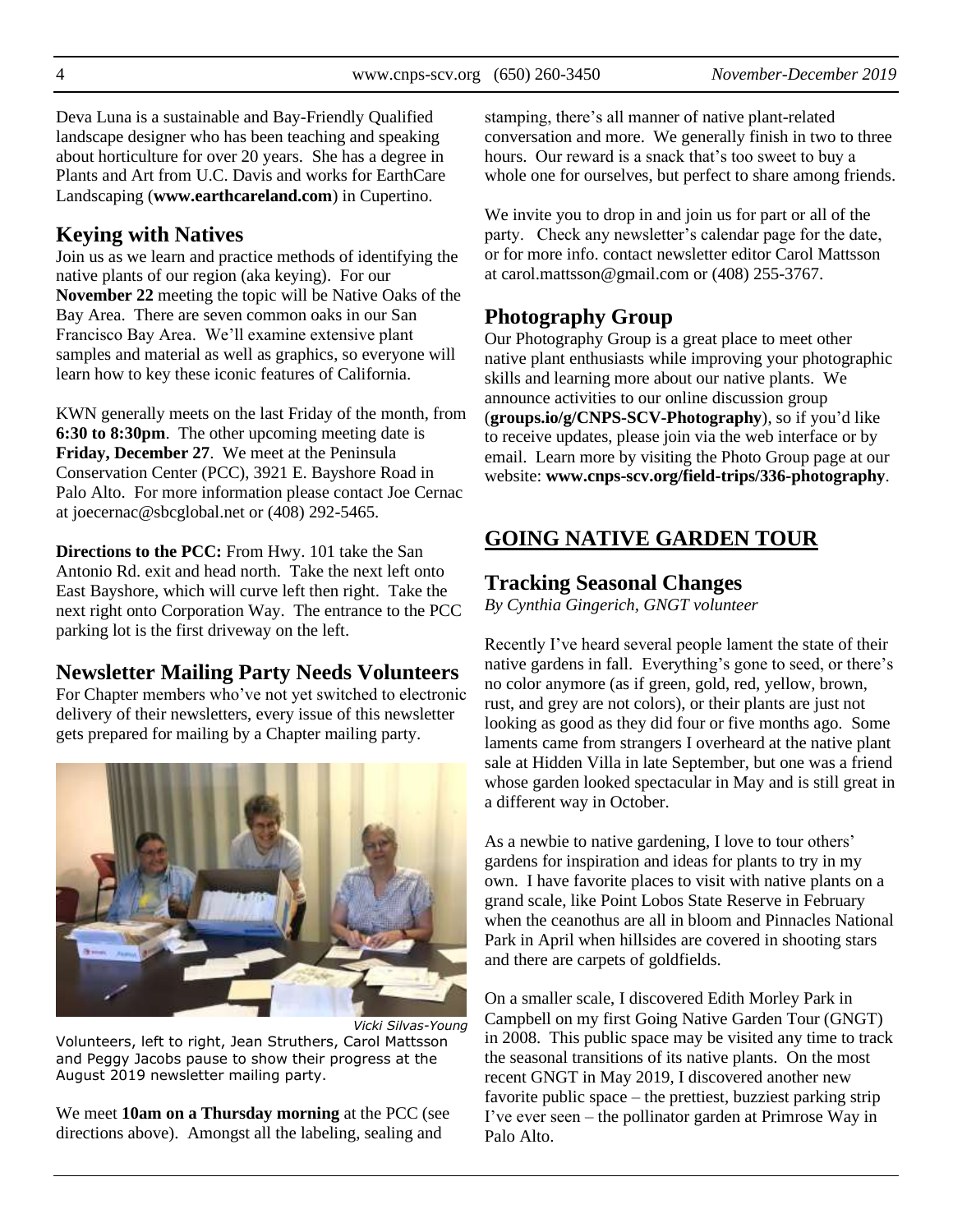Deva Luna is a sustainable and Bay-Friendly Qualified landscape designer who has been teaching and speaking about horticulture for over 20 years. She has a degree in Plants and Art from U.C. Davis and works for EarthCare Landscaping (**[www.earthcareland.com](http://www.earthcareland.com/)**) in Cupertino.

# **Keying with Natives**

Join us as we learn and practice methods of identifying the native plants of our region (aka keying). For our **November 22** meeting the topic will be Native Oaks of the Bay Area. There are seven common oaks in our San Francisco Bay Area. We'll examine extensive plant samples and material as well as graphics, so everyone will learn how to key these iconic features of California.

KWN generally meets on the last Friday of the month, from **6:30 to 8:30pm**. The other upcoming meeting date is **Friday, December 27**. We meet at the Peninsula Conservation Center (PCC), 3921 E. Bayshore Road in Palo Alto. For more information please contact Joe Cernac at joecernac@sbcglobal.net or (408) 292-5465.

**Directions to the PCC:** From Hwy. 101 take the San Antonio Rd. exit and head north. Take the next left onto East Bayshore, which will curve left then right. Take the next right onto Corporation Way. The entrance to the PCC parking lot is the first driveway on the left.

# **Newsletter Mailing Party Needs Volunteers**

For Chapter members who've not yet switched to electronic delivery of their newsletters, every issue of this newsletter gets prepared for mailing by a Chapter mailing party.



*Vicki Silvas-Young* Volunteers, left to right, Jean Struthers, Carol Mattsson and Peggy Jacobs pause to show their progress at the August 2019 newsletter mailing party.

We meet **10am on a Thursday morning** at the PCC (see directions above). Amongst all the labeling, sealing and

stamping, there's all manner of native plant-related conversation and more. We generally finish in two to three hours. Our reward is a snack that's too sweet to buy a whole one for ourselves, but perfect to share among friends.

We invite you to drop in and join us for part or all of the party. Check any newsletter's calendar page for the date, or for more info. contact newsletter editor Carol Mattsson at [carol.mattsson@gmail.com](mailto:carol.mattsson@gmail.com) or (408) 255-3767.

# **Photography Group**

Our Photography Group is a great place to meet other native plant enthusiasts while improving your photographic skills and learning more about our native plants. We announce activities to our online discussion group (**[groups.io/g/CNPS-SCV-Photography](https://groups.io/g/CNPS-SCV-Photography)**), so if you'd like to receive updates, please join via the web interface or by email. Learn more by visiting the Photo Group page at our website: **[www.cnps-scv.org/field-trips/336-photography](http://www.cnps-scv.org/index.php/field-trips/336-photography)**.

# **GOING NATIVE GARDEN TOUR**

# **Tracking Seasonal Changes**

*By Cynthia Gingerich, GNGT volunteer*

Recently I've heard several people lament the state of their native gardens in fall. Everything's gone to seed, or there's no color anymore (as if green, gold, red, yellow, brown, rust, and grey are not colors), or their plants are just not looking as good as they did four or five months ago. Some laments came from strangers I overheard at the native plant sale at Hidden Villa in late September, but one was a friend whose garden looked spectacular in May and is still great in a different way in October.

As a newbie to native gardening, I love to tour others' gardens for inspiration and ideas for plants to try in my own. I have favorite places to visit with native plants on a grand scale, like Point Lobos State Reserve in February when the ceanothus are all in bloom and Pinnacles National Park in April when hillsides are covered in shooting stars and there are carpets of goldfields.

On a smaller scale, I discovered Edith Morley Park in Campbell on my first Going Native Garden Tour (GNGT) in 2008. This public space may be visited any time to track the seasonal transitions of its native plants. On the most recent GNGT in May 2019, I discovered another new favorite public space – the prettiest, buzziest parking strip I've ever seen – the pollinator garden at Primrose Way in Palo Alto.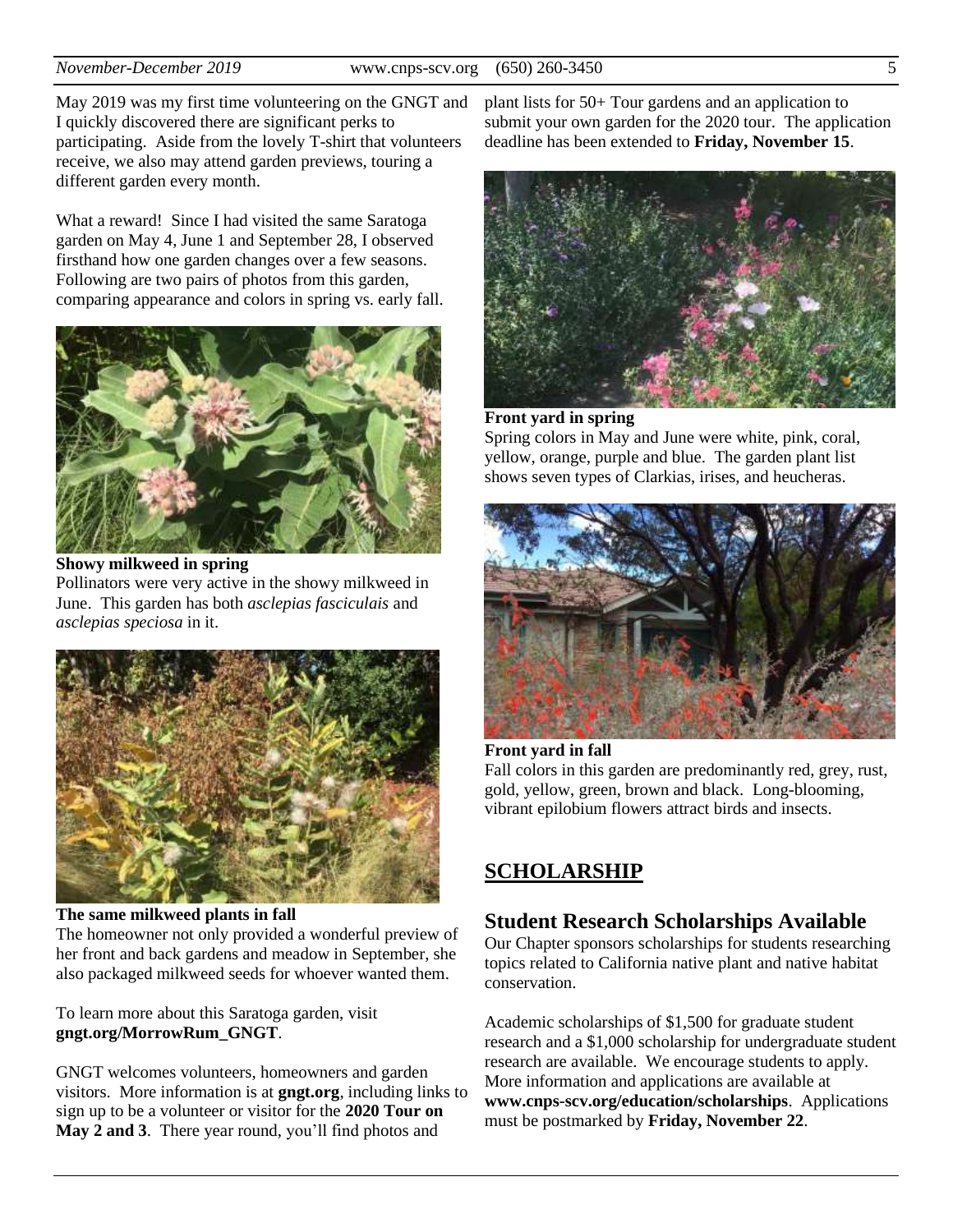May 2019 was my first time volunteering on the GNGT and I quickly discovered there are significant perks to participating. Aside from the lovely T-shirt that volunteers receive, we also may attend garden previews, touring a different garden every month.

What a reward! Since I had visited the same Saratoga garden on May 4, June 1 and September 28, I observed firsthand how one garden changes over a few seasons. Following are two pairs of photos from this garden, comparing appearance and colors in spring vs. early fall.



**Showy milkweed in spring**

Pollinators were very active in the showy milkweed in June. This garden has both *asclepias fasciculais* and *asclepias speciosa* in it.



**The same milkweed plants in fall** 

The homeowner not only provided a wonderful preview of her front and back gardens and meadow in September, she also packaged milkweed seeds for whoever wanted them.

To learn more about this Saratoga garden, visit **[gngt.org/MorrowRum\\_GNGT](https://gngt.org/MorrowRum_GNGT)**.

GNGT welcomes volunteers, homeowners and garden visitors. More information is at **gngt.org**, including links to sign up to be a volunteer or visitor for the **2020 Tour on May 2 and 3**. There year round, you'll find photos and

plant lists for 50+ Tour gardens and an application to submit your own garden for the 2020 tour. The application deadline has been extended to **Friday, November 15**.



#### **Front yard in spring**  Spring colors in May and June were white, pink, coral, yellow, orange, purple and blue. The garden plant list shows seven types of Clarkias, irises, and heucheras.



#### **Front yard in fall** Fall colors in this garden are predominantly red, grey, rust, gold, yellow, green, brown and black. Long-blooming, vibrant epilobium flowers attract birds and insects.

# **SCHOLARSHIP**

#### **Student Research Scholarships Available**

Our Chapter sponsors scholarships for students researching topics related to California native plant and native habitat conservation.

Academic scholarships of \$1,500 for graduate student research and a \$1,000 scholarship for undergraduate student research are available. We encourage students to apply. More information and applications are available at **[www.cnps-scv.org/education/scholarships](http://www.cnps-scv.org/education/scholarships)**. Applications must be postmarked by **Friday, November 22**.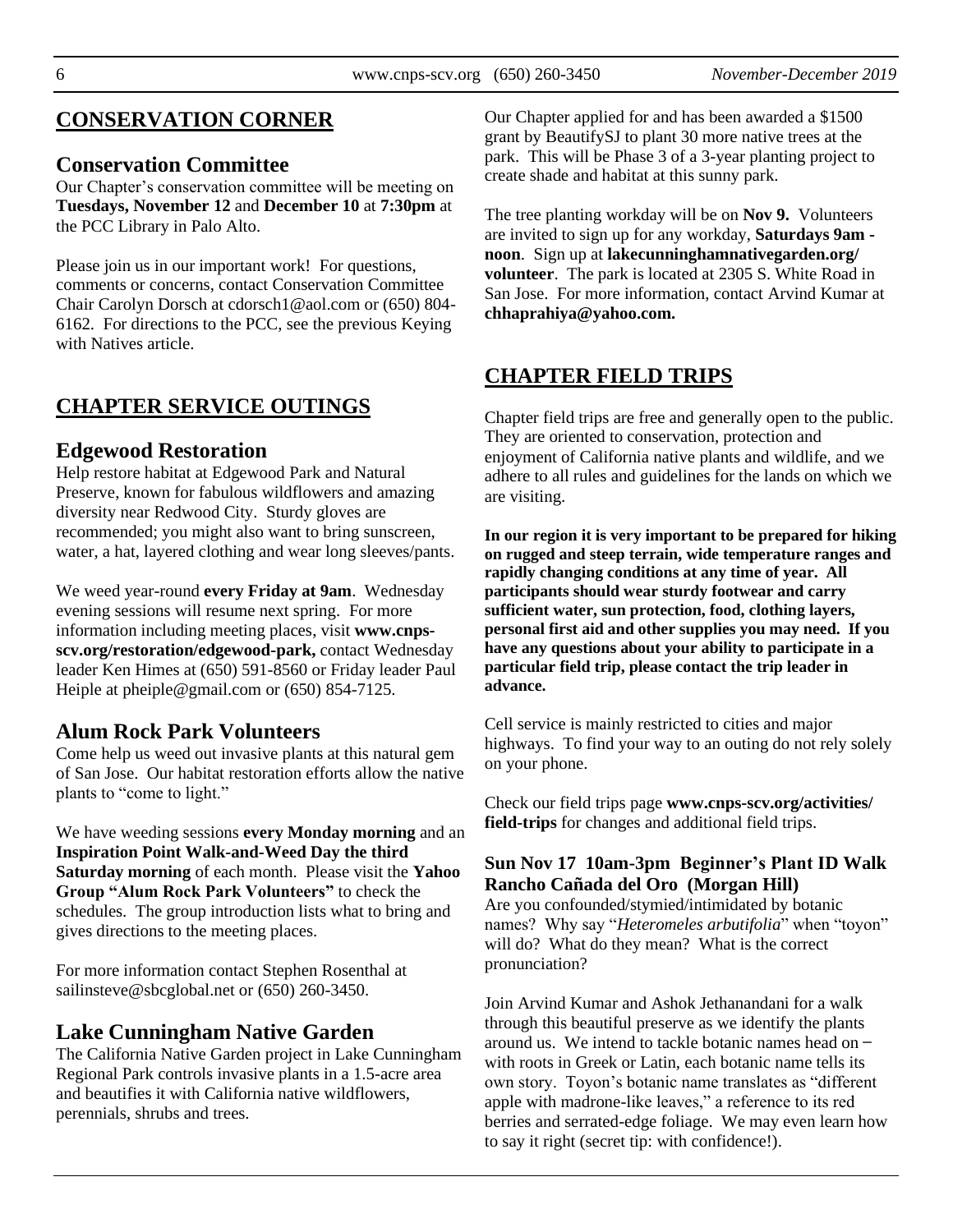### **CONSERVATION CORNER**

#### **Conservation Committee**

Our Chapter's conservation committee will be meeting on **Tuesdays, November 12** and **December 10** at **7:30pm** at the PCC Library in Palo Alto.

Please join us in our important work! For questions, comments or concerns, contact Conservation Committee Chair Carolyn Dorsch at cdorsch1@aol.com or (650) 804- 6162. For directions to the PCC, see the previous Keying with Natives article.

# **CHAPTER SERVICE OUTINGS**

#### **Edgewood Restoration**

Help restore habitat at Edgewood Park and Natural Preserve, known for fabulous wildflowers and amazing diversity near Redwood City. Sturdy gloves are recommended; you might also want to bring sunscreen, water, a hat, layered clothing and wear long sleeves/pants.

We weed year-round **every Friday at 9am**. Wednesday evening sessions will resume next spring. For more information including meeting places, visit **[www.cnps](http://www.cnps-scv.org/restoration/edgewood-park)[scv.org/restoration/edgewood-park,](http://www.cnps-scv.org/restoration/edgewood-park)** contact Wednesday leader Ken Himes at (650) 591-8560 or Friday leader Paul Heiple at pheiple@gmail.com or (650) 854-7125.

### **Alum Rock Park Volunteers**

Come help us weed out invasive plants at this natural gem of San Jose. Our habitat restoration efforts allow the native plants to "come to light."

We have weeding sessions **every Monday morning** and an **Inspiration Point Walk-and-Weed Day the third Saturday morning** of each month. Please visit the **[Yahoo](https://groups.yahoo.com/)  [Group "Alum Rock Park Volunteers"](https://groups.yahoo.com/)** to check the schedules. The group introduction lists what to bring and gives directions to the meeting places.

For more information contact Stephen Rosenthal at sailinsteve@sbcglobal.net or (650) 260-3450.

#### **Lake Cunningham Native Garden**

The California Native Garden project in Lake Cunningham Regional Park controls invasive plants in a 1.5-acre area and beautifies it with California native wildflowers, perennials, shrubs and trees.

Our Chapter applied for and has been awarded a \$1500 grant by BeautifySJ to plant 30 more native trees at the park. This will be Phase 3 of a 3-year planting project to create shade and habitat at this sunny park.

The tree planting workday will be on **Nov 9.** Volunteers are invited to sign up for any workday, **Saturdays 9am noon**. Sign up at **[lakecunninghamnativegarden.org/](http://lakecunninghamnativegarden.org/volunteer) [volunteer](http://lakecunninghamnativegarden.org/volunteer)**. The park is located at 2305 S. White Road in San Jose. For more information, contact Arvind Kumar at **[chhaprahiya@yahoo.com.](mailto:chhaprahiya@yahoo.com)**

# **CHAPTER FIELD TRIPS**

Chapter field trips are free and generally open to the public. They are oriented to conservation, protection and enjoyment of California native plants and wildlife, and we adhere to all rules and guidelines for the lands on which we are visiting.

**In our region it is very important to be prepared for hiking on rugged and steep terrain, wide temperature ranges and rapidly changing conditions at any time of year. All participants should wear sturdy footwear and carry sufficient water, sun protection, food, clothing layers, personal first aid and other supplies you may need. If you have any questions about your ability to participate in a particular field trip, please contact the trip leader in advance.**

Cell service is mainly restricted to cities and major highways. To find your way to an outing do not rely solely on your phone.

Check our field trips page **[www.cnps-scv.org/activities/](http://www.cnps-scv.org/activities/field-trips/) [field-trips](http://www.cnps-scv.org/activities/field-trips/)** for changes and additional field trips.

#### **Sun Nov 17 10am-3pm Beginner's Plant ID Walk Rancho Cañada del Oro (Morgan Hill)**

Are you confounded/stymied/intimidated by botanic names? Why say "*Heteromeles arbutifolia*" when "toyon" will do? What do they mean? What is the correct pronunciation?

Join Arvind Kumar and Ashok Jethanandani for a walk through this beautiful preserve as we identify the plants around us. We intend to tackle botanic names head on ̶ with roots in Greek or Latin, each botanic name tells its own story. Toyon's botanic name translates as "different apple with madrone-like leaves," a reference to its red berries and serrated-edge foliage. We may even learn how to say it right (secret tip: with confidence!).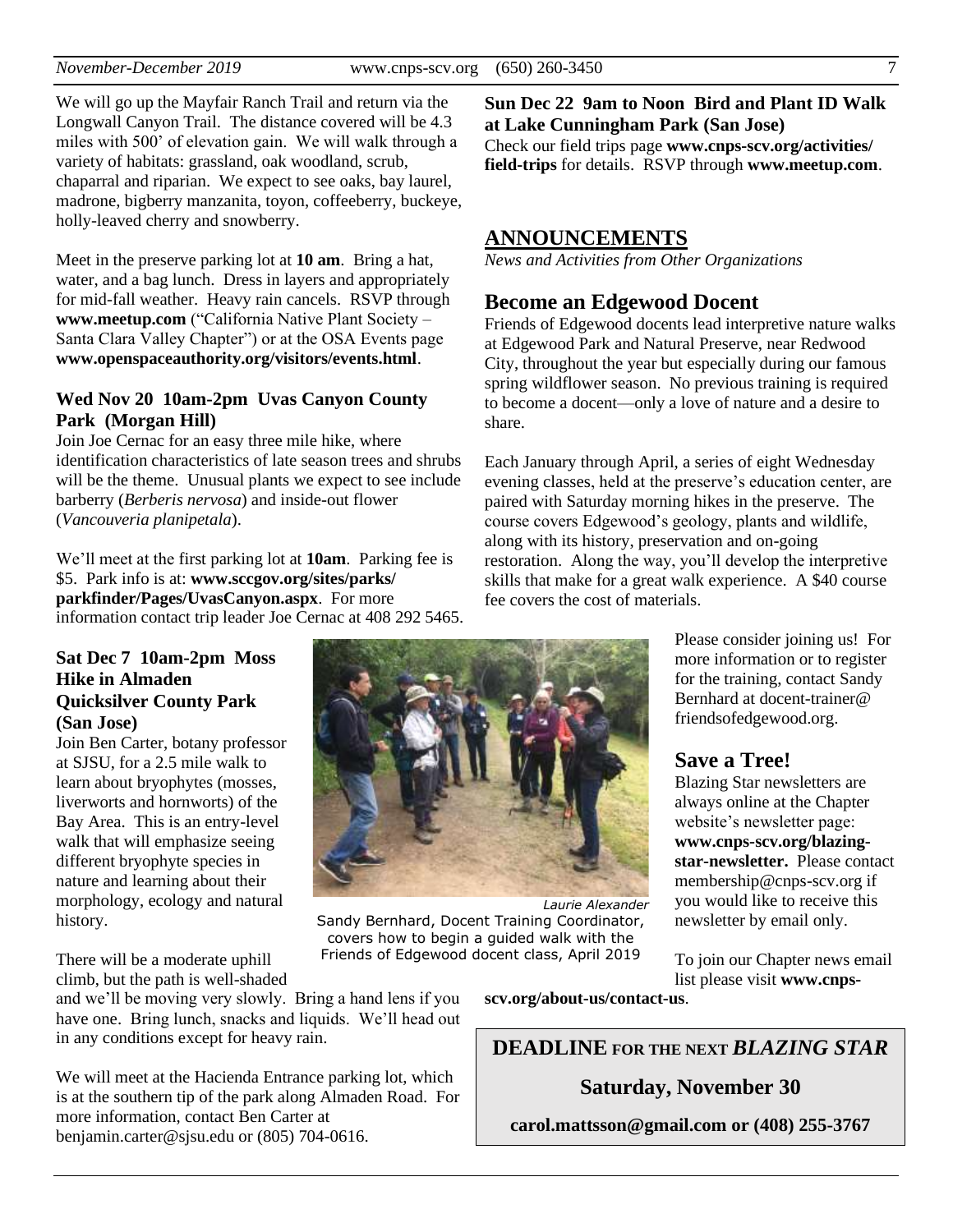We will go up the Mayfair Ranch Trail and return via the Longwall Canyon Trail. The distance covered will be 4.3 miles with 500' of elevation gain. We will walk through a variety of habitats: grassland, oak woodland, scrub, chaparral and riparian. We expect to see oaks, bay laurel, madrone, bigberry manzanita, toyon, coffeeberry, buckeye, holly-leaved cherry and snowberry.

Meet in the preserve parking lot at **10 am**. Bring a hat, water, and a bag lunch. Dress in layers and appropriately for mid-fall weather. Heavy rain cancels. RSVP through **[www.meetup.com](https://www.meetup.com/California-Native-Plant-Society-Santa-Clara-Valley-Chapter/)** ("California Native Plant Society – Santa Clara Valley Chapter") or at the OSA Events page **[www.openspaceauthority.org/visitors/events.html](https://www.openspaceauthority.org/visitors/events.html)**.

#### **Wed Nov 20 10am-2pm Uvas Canyon County Park (Morgan Hill)**

Join Joe Cernac for an easy three mile hike, where identification characteristics of late season trees and shrubs will be the theme. Unusual plants we expect to see include barberry (*Berberis nervosa*) and inside-out flower (*Vancouveria planipetala*).

We'll meet at the first parking lot at **10am**. Parking fee is \$5. Park info is at: **[www.sccgov.org/sites/parks/](https://www.sccgov.org/sites/parks/parkfinder/Pages/UvasCanyon.aspx) [parkfinder/Pages/UvasCanyon.aspx](https://www.sccgov.org/sites/parks/parkfinder/Pages/UvasCanyon.aspx)**. For more information contact trip leader Joe Cernac at 408 292 5465.

#### **Sun Dec 22 9am to Noon Bird and Plant ID Walk at Lake Cunningham Park (San Jose)**

Check our field trips page **[www.cnps-scv.org/activities/](http://www.cnps-scv.org/activities/field-trips/) [field-trips](http://www.cnps-scv.org/activities/field-trips/)** for details. RSVP through **[www.meetup.com](https://www.meetup.com/California-Native-Plant-Society-Santa-Clara-Valley-Chapter/)**.

#### **ANNOUNCEMENTS**

*News and Activities from Other Organizations*

### **Become an Edgewood Docent**

Friends of Edgewood docents lead interpretive nature walks at Edgewood Park and Natural Preserve, near Redwood City, throughout the year but especially during our famous spring wildflower season. No previous training is required to become a docent—only a love of nature and a desire to share.

Each January through April, a series of eight Wednesday evening classes, held at the preserve's education center, are paired with Saturday morning hikes in the preserve. The course covers Edgewood's geology, plants and wildlife, along with its history, preservation and on-going restoration. Along the way, you'll develop the interpretive skills that make for a great walk experience. A \$40 course fee covers the cost of materials.

**Sat Dec 7 10am-2pm Moss Hike in Almaden Quicksilver County Park (San Jose)**

Join Ben Carter, botany professor at SJSU, for a 2.5 mile walk to learn about bryophytes (mosses, liverworts and hornworts) of the Bay Area. This is an entry-level walk that will emphasize seeing different bryophyte species in nature and learning about their morphology, ecology and natural history.

There will be a moderate uphill climb, but the path is well-shaded

and we'll be moving very slowly. Bring a hand lens if you have one. Bring lunch, snacks and liquids. We'll head out in any conditions except for heavy rain.

We will meet at the Hacienda Entrance parking lot, which is at the southern tip of the park along Almaden Road. For more information, contact Ben Carter at benjamin.carter@sjsu.edu or (805) 704-0616.

Please consider joining us! For more information or to register for the training, contact Sandy Bernhard at [docent-trainer@](mailto:docent-trainer@friendsofedgewood.org) [friendsofedgewood.org.](mailto:docent-trainer@friendsofedgewood.org)

# **Save a Tree!**

Blazing Star newsletters are always online at the Chapter website's newsletter page: **[www.cnps-scv.org/blazing](http://www.cnps-scv.org/index.php/blazing-star-newsletter)[star-newsletter.](http://www.cnps-scv.org/index.php/blazing-star-newsletter)** Please contact membership@cnps-scv.org if you would like to receive this newsletter by email only.

To join our Chapter news email list please visit **[www.cnps-](http://www.cnps-scv.org/index.php/about-us/contact-us)**

**[scv.org/about-us/contact-us](http://www.cnps-scv.org/index.php/about-us/contact-us)**.

*Laurie Alexander*

**DEADLINE FOR THE NEXT** *BLAZING STAR*

# **Saturday, November 30**

**carol.mattsson@gmail.com or (408) 255-3767**

Sandy Bernhard, Docent Training Coordinator, covers how to begin a guided walk with the Friends of Edgewood docent class, April 2019